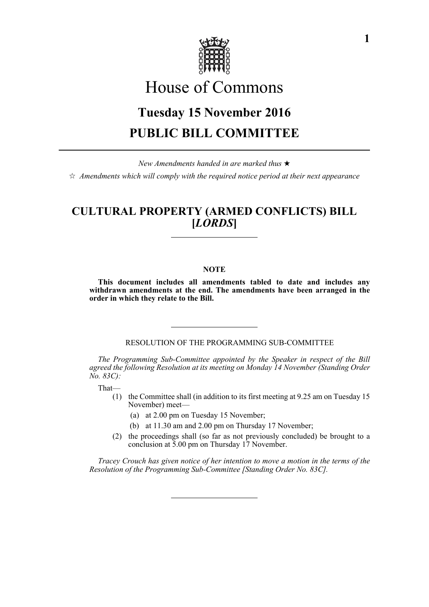

# House of Commons

# **Tuesday 15 November 2016 PUBLIC BILL COMMITTEE**

*New Amendments handed in are marked thus*   $\dot{\mathbb{X}}$  Amendments which will comply with the required notice period at their next appearance

# **CULTURAL PROPERTY (ARMED CONFLICTS) BILL [***LORDS***]**

# **NOTE**

**This document includes all amendments tabled to date and includes any withdrawn amendments at the end. The amendments have been arranged in the order in which they relate to the Bill.**

RESOLUTION OF THE PROGRAMMING SUB-COMMITTEE

*The Programming Sub-Committee appointed by the Speaker in respect of the Bill agreed the following Resolution at its meeting on Monday 14 November (Standing Order No. 83C):*

That—

- (1) the Committee shall (in addition to its first meeting at 9.25 am on Tuesday 15 November) meet—
	- (a) at 2.00 pm on Tuesday 15 November;
	- (b) at 11.30 am and 2.00 pm on Thursday 17 November;
- (2) the proceedings shall (so far as not previously concluded) be brought to a conclusion at 5.00 pm on Thursday 17 November.

*Tracey Crouch has given notice of her intention to move a motion in the terms of the Resolution of the Programming Sub-Committee [Standing Order No. 83C].*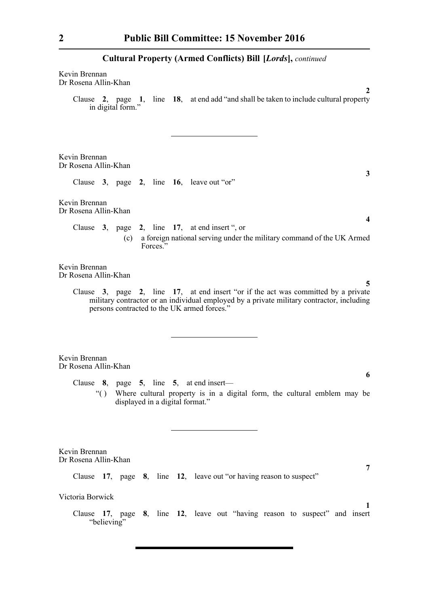#### Kevin Brennan Dr Rosena Allin-Khan

Clause **2**, page **1**, line **18**, at end add "and shall be taken to include cultural property in digital form."

Kevin Brennan Dr Rosena Allin-Khan

Clause **3**, page **2**, line **16**, leave out "or"

Kevin Brennan Dr Rosena Allin-Khan

> Clause **3**, page **2**, line **17**, at end insert ", or (c) a foreign national serving under the military command of the UK Armed Forces."

Kevin Brennan Dr Rosena Allin-Khan

> Clause **3**, page **2**, line **17**, at end insert "or if the act was committed by a private military contractor or an individual employed by a private military contractor, including persons contracted to the UK armed forces."

Kevin Brennan Dr Rosena Allin-Khan

Clause **8**, page **5**, line **5**, at end insert—

"( ) Where cultural property is in a digital form, the cultural emblem may be displayed in a digital format."

Kevin Brennan Dr Rosena Allin-Khan

Clause **17**, page **8**, line **12**, leave out "or having reason to suspect"

Victoria Borwick

Clause **17**, page **8**, line **12**, leave out "having reason to suspect" and insert "believing"

**6**

**5**

**2**

**3**

**4**

**7**

**1**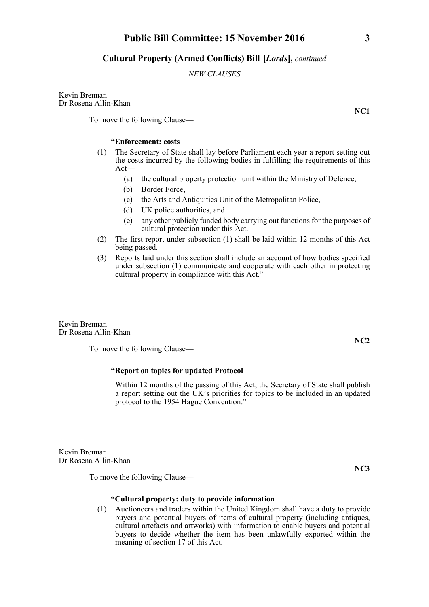#### *NEW CLAUSES*

Kevin Brennan Dr Rosena Allin-Khan

To move the following Clause—

#### **"Enforcement: costs**

- (1) The Secretary of State shall lay before Parliament each year a report setting out the costs incurred by the following bodies in fulfilling the requirements of this Act—
	- (a) the cultural property protection unit within the Ministry of Defence,
	- (b) Border Force,
	- (c) the Arts and Antiquities Unit of the Metropolitan Police,
	- (d) UK police authorities, and
	- (e) any other publicly funded body carrying out functions for the purposes of cultural protection under this Act.
- (2) The first report under subsection (1) shall be laid within 12 months of this Act being passed.
- (3) Reports laid under this section shall include an account of how bodies specified under subsection (1) communicate and cooperate with each other in protecting cultural property in compliance with this Act."

Kevin Brennan Dr Rosena Allin-Khan

To move the following Clause—

# **"Report on topics for updated Protocol**

Within 12 months of the passing of this Act, the Secretary of State shall publish a report setting out the UK's priorities for topics to be included in an updated protocol to the 1954 Hague Convention."

Kevin Brennan Dr Rosena Allin-Khan

To move the following Clause—

# **"Cultural property: duty to provide information**

(1) Auctioneers and traders within the United Kingdom shall have a duty to provide buyers and potential buyers of items of cultural property (including antiques, cultural artefacts and artworks) with information to enable buyers and potential buyers to decide whether the item has been unlawfully exported within the meaning of section 17 of this Act.

**NC2**

**NC1**

**NC3**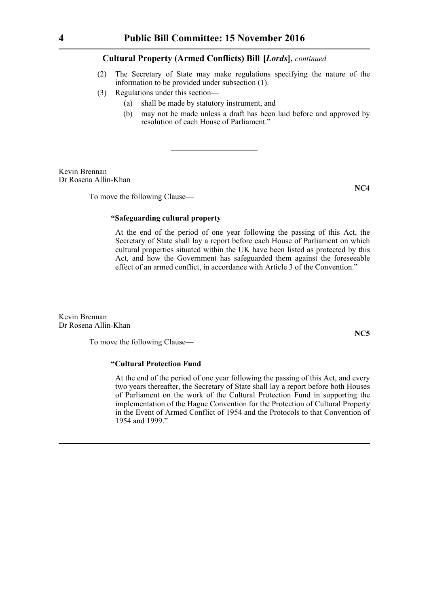- (2) The Secretary of State may make regulations specifying the nature of the information to be provided under subsection (1).
- (3) Regulations under this section—
	- (a) shall be made by statutory instrument, and
	- (b) may not be made unless a draft has been laid before and approved by resolution of each House of Parliament."

Kevin Brennan Dr Rosena Allin-Khan

To move the following Clause—

**NC4**

**NC5**

# **"Safeguarding cultural property**

At the end of the period of one year following the passing of this Act, the Secretary of State shall lay a report before each House of Parliament on which cultural properties situated within the UK have been listed as protected by this Act, and how the Government has safeguarded them against the foreseeable effect of an armed conflict, in accordance with Article 3 of the Convention."

Kevin Brennan Dr Rosena Allin-Khan

To move the following Clause—

**"Cultural Protection Fund**

At the end of the period of one year following the passing of this Act, and every two years thereafter, the Secretary of State shall lay a report before both Houses of Parliament on the work of the Cultural Protection Fund in supporting the implementation of the Hague Convention for the Protection of Cultural Property in the Event of Armed Conflict of 1954 and the Protocols to that Convention of 1954 and 1999."